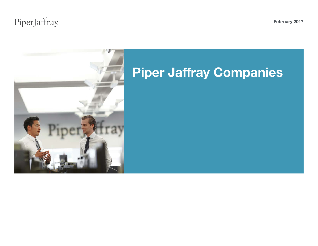# PiperJaffray

February 2017

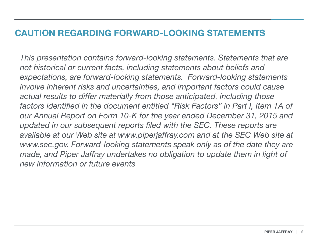### CAUTION REGARDING FORWARD-LOOKING STATEMENTS

*This presentation contains forward-looking statements. Statements that are not historical or current facts, including statements about beliefs and expectations, are forward-looking statements. Forward-looking statements involve inherent risks and uncertainties, and important factors could cause actual results to differ materially from those anticipated, including those factors identified in the document entitled "Risk Factors" in Part I, Item 1A of our Annual Report on Form 10-K for the year ended December 31, 2015 and updated in our subsequent reports filed with the SEC. These reports are*  available at our Web site at www.piperjaffray.com and at the SEC Web site at www.sec.gov. Forward-looking statements speak only as of the date they are *made, and Piper Jaffray undertakes no obligation to update them in light of new information or future events*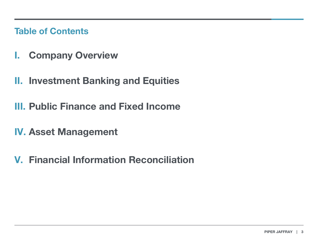Table of Contents

- I. Company Overview
- II. Investment Banking and Equities
- III. Public Finance and Fixed Income
- IV. Asset Management
- V. Financial Information Reconciliation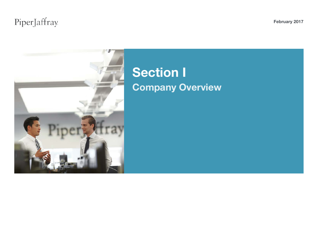# PiperJaffray

February 2017



# Section I Company Overview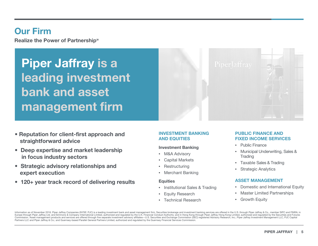### Our Firm

Realize the Power of Partnership<sup>®</sup>

Piper Jaffray is a leading investment bank and asset management firm

- Reputation for client-first approach and straightforward advice
- Deep expertise and market leadership in focus industry sectors
- Strategic advisory relationships and expert execution
- 120+ year track record of delivering results

#### INVESTMENT BANKING AND EQUITIES

#### Investment Banking

- M&A Advisory
- Capital Markets
- **Restructuring**
- Merchant Banking

#### **Equities**

- Institutional Sales & Trading
- Equity Research
- Technical Research

#### PUBLIC FINANCE AND FIXED INCOME SERVICES

- Public Finance
- Municipal Underwriting, Sales & **Trading**
- Taxable Sales & Trading
- Strategic Analytics

#### ASSET MANAGEMENT

- Domestic and International Equity
- Master Limited Partnerships
- Growth Equity

Information as of November 2016. Piper Jaffray Companies (NYSE: PJC) is a leading investment bank and asset management firm. Securities brokerage and investment banking services are offered in the U.S. through Piper Jaffra Europe through Piper Jaffray Ltd. and Simmons & Company International Limited, authorized and regulated by the U.K. Financial Conduct Authority; and in Hong Kong through Piper Jaffray Hong Kong Limited, authorized and regu Commission. Asset management products and services are offered through five separate investment advisory affiliates-U.S. Securities and Exchange Commission (SEC) registered Advisory Research, Inc.; Piper Jaffray Investment Partners LLC and Piper Jaffray & Co.; and Guernsey-based Parallel General Partners Limited, authorized and regulated by the Guernsey Financial Services Commission.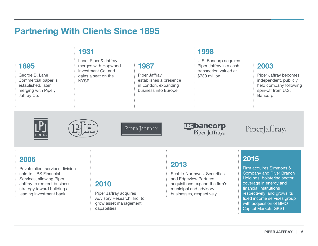### Partnering With Clients Since 1895

### 1895

George B. Lane Commercial paper is established, later merging with Piper, Jaffray Co.

### 1931

Lane, Piper & Jaffray merges with Hopwood Investment Co. and gains a seat on the **NYSE** 

### 1987

Piper Jaffray establishes a presence in London, expanding business into Europe

### 1998

U.S. Bancorp acquires Piper Jaffray in a cash transaction valued at \$730 million

### 2003

Piper Jaffray becomes independent, publicly held company following spin-off from U.S. Bancorp





PIPER JAFFRAY

**Usbancorp** Piper Jaffray<sub>®</sub>

PiperJaffray

### 2006

Private client services division sold to UBS Financial Services, allowing Piper Jaffray to redirect business strategy toward building a leading investment bank

### 2010

Piper Jaffray acquires Advisory Research, Inc. to grow asset management capabilities

### 2013

Seattle-Northwest Securities and Edgeview Partners acquisitions expand the firm's municipal and advisory businesses, respectively

### 2015

Firm acquires Simmons & Company and River Branch Holdings, bolstering sector coverage in energy and financial institutions respectively, and grows its fixed income services group with acquisition of BMO Capital Markets GKST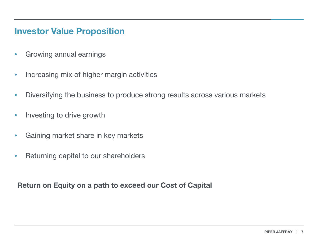### Investor Value Proposition

- Growing annual earnings
- Increasing mix of higher margin activities
- Diversifying the business to produce strong results across various markets
- Investing to drive growth
- Gaining market share in key markets
- Returning capital to our shareholders

Return on Equity on a path to exceed our Cost of Capital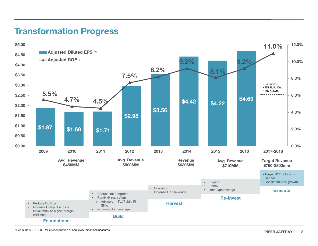### Transformation Progress

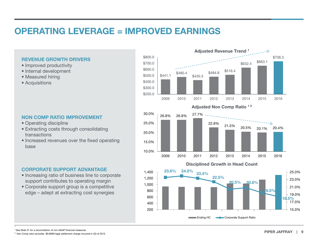## OPERATING LEVERAGE = IMPROVED EARNINGS

#### REVENUE GROWTH DRIVERS

- Improved productivity
- Internal development
- Measured hiring
- Acquisitions

#### NON COMP RATIO IMPROVEMENT

- Operating discipline
- Extracting costs through consolidating transactions
- Increased revenues over the fixed operating base

#### CORPORATE SUPPORT ADVANTAGE

- Increasing ratio of business line to corporate support contributes to operating margin
- Corporate support group is a competitive edge – adept at extracting cost synergies





1 See Slide 31 for a reconciliation of non-GAAP financial measures

1

2 Non Comp ratio excludes \$9.8MM legal settlement charge incurred in Q3 of 2015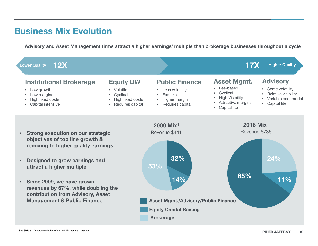### Business Mix Evolution

Advisory and Asset Management firms attract a higher earnings' multiple than brokerage businesses throughout a cycle

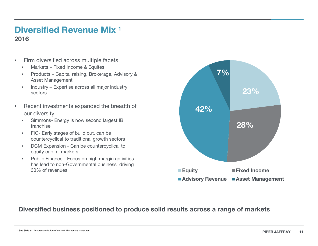### Diversified Revenue Mix 1 2016

- Firm diversified across multiple facets
	- Markets Fixed Income & Equites
	- Products Capital raising, Brokerage, Advisory & Asset Management
	- Industry Expertise across all major industry sectors
- $\sup$  = • Recent investments expanded the breadth of our diversity
	- Simmons- Energy is now second largest IB franchise
	- FIG- Early stages of build out, can be countercyclical to traditional growth sectors
	- DCM Expansion Can be countercyclical to equity capital markets
	- Public Finance Focus on high margin activities has lead to non-Governmental business driving 30% of revenues **Equity** Fixed Income



### Diversified business positioned to produce solid results across a range of markets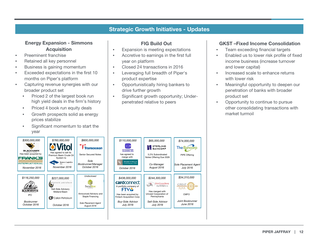#### Strategic Growth Initiatives - Updates

#### Energy Expansion - Simmons **Acquisition**

- Preeminent franchise
- Retained all key personnel
- Business is gaining momentum
- Exceeded expectations in the first 10 months on Piper's platform
- Capturing revenue synergies with our broader product set
	- Priced 2 of the largest book run high yield deals in the firm's history
	- Priced 4 book run equity deals
	- Growth prospects solid as energy prices stabilize
	- Significant momentum to start the year



#### FIG Build Out

- Expansion is meeting expectations
- Accretive to earnings in the first full year on platform
- Closed 24 transactions in 2016
- Leveraging full breadth of Piper's product expertise
- Opportunistically hiring bankers to drive further growth
- Significant growth opportunity; Underpenetrated relative to peers

#### GKST –Fixed Income Consolidation

- Team exceeding financial targets
- Enabled us to lower risk profile of fixed income business (increase turnover and lower capital)
- Increased scale to enhance returns with lower risk
- Meaningful opportunity to deepen our penetration of banks with broader product set
- Opportunity to continue to pursue other consolidating transactions with market turmoil



Ī

Ī

Ī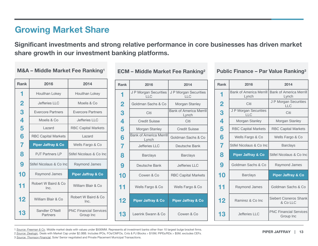## Growing Market Share

Significant investments and strong relative performance in core businesses has driven market share growth in our investment banking platforms.

#### M&A – Middle Market Fee Ranking1

| <b>Rank</b>             | 2016                          | 2014                                       |
|-------------------------|-------------------------------|--------------------------------------------|
| 1                       | Houlihan Lokey                | Houlihan Lokey                             |
| $\overline{\mathbf{2}}$ | Jefferies IIC                 | Moelis & Co                                |
| 3                       | Evercore Partners             | Evercore Partners                          |
| 4                       | Moelis & Co                   | Jefferies LLC                              |
| 5                       | Lazard                        | <b>RBC Capital Markets</b>                 |
| 6                       | <b>RBC Capital Markets</b>    | Lazard                                     |
| 7                       | <b>Piper Jaffray &amp; Co</b> | Wells Fargo & Co                           |
| 8                       | PJT Partners I P              | Stifel Nicolaus & Co Inc                   |
| 9                       | Stifel Nicolaus & Co Incl     | Raymond James                              |
| 10                      | Raymond James                 | <b>Piper Jaffray &amp; Co</b>              |
| 11                      | Robert W Baird & Co<br>Inc.   | William Blair & Co.                        |
| 12                      | William Blair & Co.           | Robert W Baird & Co<br>Inc.                |
| 13                      | Sandler O'Neill<br>Partners   | <b>PNC Financial Services</b><br>Group Inc |

ECM – Middle Market Fee Ranking2

| <b>Rank</b>             | 2016                                    | 2014                                    |  |  |  |  |  |  |
|-------------------------|-----------------------------------------|-----------------------------------------|--|--|--|--|--|--|
| 1                       | J P Morgan Securities<br><b>LLC</b>     | J P Morgan Securities<br><b>LLC</b>     |  |  |  |  |  |  |
| $\overline{\mathbf{2}}$ | Goldman Sachs & Co                      | Morgan Stanley                          |  |  |  |  |  |  |
| 3                       | Citi                                    | <b>Bank of America Merrill</b><br>Lynch |  |  |  |  |  |  |
| 4                       | <b>Credit Suisse</b>                    | Citi                                    |  |  |  |  |  |  |
| 5                       | Morgan Stanley                          | <b>Credit Suisse</b>                    |  |  |  |  |  |  |
| 6                       | <b>Bank of America Merrill</b><br>Lynch | Goldman Sachs & Co                      |  |  |  |  |  |  |
| 7                       | Jefferies IIC                           | Deutsche Bank                           |  |  |  |  |  |  |
| 8                       | <b>Barclays</b>                         | <b>Barclays</b>                         |  |  |  |  |  |  |
| 9                       | Deutsche Bank                           | Jefferies II C                          |  |  |  |  |  |  |
| 10                      | Cowen & Co                              | <b>RBC Capital Markets</b>              |  |  |  |  |  |  |
| 11                      | Wells Fargo & Co                        | Wells Fargo & Co                        |  |  |  |  |  |  |
| 12                      | <b>Piper Jaffray &amp; Co</b>           | <b>Piper Jaffray &amp; Co</b>           |  |  |  |  |  |  |
| 13                      | Leerink Swann & Co                      | Cowen & Co                              |  |  |  |  |  |  |

Public Finance – Par Value Ranking3

| Rank           | 2016                                    | 2014                                       |  |  |  |  |  |  |
|----------------|-----------------------------------------|--------------------------------------------|--|--|--|--|--|--|
| 1              | <b>Bank of America Merrill</b><br>Lynch | <b>Bank of America Merrill</b><br>Lynch    |  |  |  |  |  |  |
| $\overline{2}$ | Citi                                    | J P Morgan Securities<br>$\sqcup$ C        |  |  |  |  |  |  |
| 3              | J P Morgan Securities<br><b>LLC</b>     | Citi                                       |  |  |  |  |  |  |
| 4              | Morgan Stanley                          | Morgan Stanley                             |  |  |  |  |  |  |
| 5              | <b>RBC Capital Markets</b>              | <b>RBC Capital Markets</b>                 |  |  |  |  |  |  |
| 6              | Wells Fargo & Co                        | Wells Fargo & Co                           |  |  |  |  |  |  |
| 7              | Stifel Nicolaus & Co Inc                | <b>Barclays</b>                            |  |  |  |  |  |  |
| 8              | <b>Piper Jaffray &amp; Co</b>           | Stifel Nicolaus & Co Inc                   |  |  |  |  |  |  |
| 9              | Goldman Sachs & Co                      | Raymond James                              |  |  |  |  |  |  |
| 10             | <b>Barclays</b>                         | <b>Piper Jaffray &amp; Co</b>              |  |  |  |  |  |  |
| 11             | Raymond James                           | Goldman Sachs & Co                         |  |  |  |  |  |  |
| 12             | Ramirez & Co Inc                        | Siebert Cisneros Shank<br>& Co LLC         |  |  |  |  |  |  |
| 13             | Jefferies LLC                           | <b>PNC Financial Services</b><br>Group Inc |  |  |  |  |  |  |

1 *Source: Freeman & Co*. Middle market deals with values under \$500MM. Represents all investment banks other than 10 largest bulge bracket firms.

2.*Source: Dealogic*. Deals with Market Cap under \$2.0BB. Includes IPOs, FOs/CMFOs, Cvts & PJ Blocks > \$10M; PIPEs/RDs > \$5M; excludes CEFs.

3 *Source: Thomson Financial*, Sole/ Senior negotiated and Private Placement Municipal Transactions.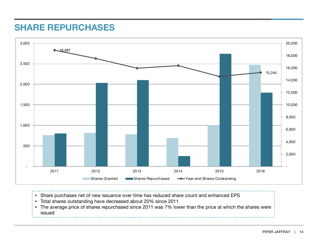### SHARE REPURCHASES



- Share purchases net of new issuance over time has reduced share count and enhanced EPS
- Total shares outstanding have decreased about 20% since 2011
- The average price of shares repurchased since 2011 was 7% lower than the price at which the shares were issued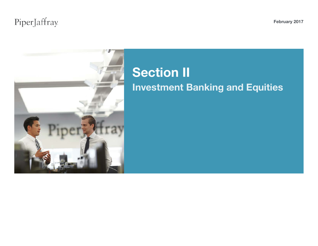# PiperJaffray

February 2017



# Section II Investment Banking and Equities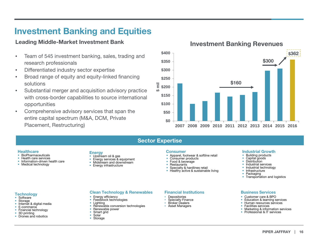### Investment Banking and Equities

#### Leading Middle-Market Investment Bank

- Team of 545 investment banking, sales, trading and research professionals
- Differentiated industry sector expertise
- Broad range of equity and equity-linked financing solutions
- Substantial merger and acquisition advisory practice with cross-border capabilities to source international opportunities
- Comprehensive advisory services that span the entire capital spectrum (M&A, DCM, Private Placement, Restructuring)



#### Sector Expertise

#### Healthcare Consumer

- 
- 
- BioPharmaceuticals Health care services Information-driven health care Medical technology

#### **Energy**

- 
- Upstream oil & gas Energy services & equipment Midstream and downstream Energy infrastructure
- 
- 

- 
- 
- 
- 
- Apparel, footwear & softline retail<br>• Consumer products<br>• Restaurants<br>• Restaurants<br>• Specialty & hardlines retail<br>• Healthy active & sustainable living
	-
- 

Industrial Growth

• Building products<br>• Capital goods<br>• Industrial services<br>• Industrial technology<br>• Infrastructure<br>• Packaging<br>• Transportation and logistics

- 
- 
- 
- 
- Customer care & BPO<br>• Education & learning services<br>• Human resources services<br>• Facilities services<br>• Marketing & information services<br>• Professional & IT services
- 

#### **Technology**

- 
- 
- Software Storage<br>• Internet & digital media<br>• E-commerce Financial technology<br>• 3D printing Drones and robotics
- 
- 
- 

#### **Clean Technology & Renewables Access Financial Institutions Clean Services Services**

- 
- 
- 
- Energy efficiency<br>• Feedstock technologies<br>• Lighting<br>• Renewable conversion technologies<br>• Renewable power<br>• Smart grid<br>• Storage
- 
- 
- 

#### Financial Institutions

- 
- Depositories<br>• Specialty Finance<br>• Broker Dealers<br>• Asset Managers
- 

Investment Banking Revenues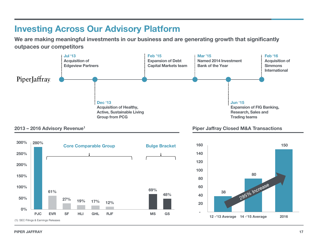### Investing Across Our Advisory Platform

We are making meaningful investments in our business and are generating growth that significantly outpaces our competitors







2013 – 2016 Advisory Revenue<sup>1</sup> 2013 – 2016 Advisory Revenue<sup>1</sup>

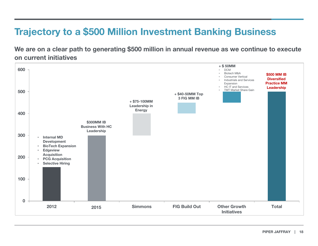# Trajectory to a \$500 Million Investment Banking Business

We are on a clear path to generating \$500 million in annual revenue as we continue to execute on current initiatives

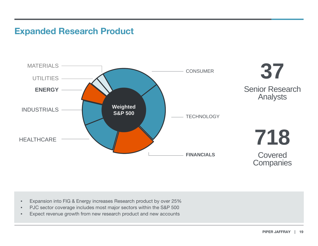### Expanded Research Product



- Expansion into FIG & Energy increases Research product by over 25%
- PJC sector coverage includes most major sectors within the S&P 500
- Expect revenue growth from new research product and new accounts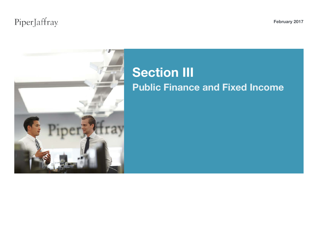# PiperJaffray

February 2017



# **Section III** Public Finance and Fixed Income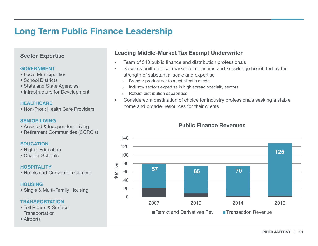## Long Term Public Finance Leadership

#### Sector Expertise

#### GOVERNMENT

- Local Municipalities
- School Districts
- State and State Agencies
- Infrastructure for Development

#### **HEALTHCARE**

• Non-Profit Health Care Providers

#### SENIOR LIVING

- Assisted & Independent Living
- Retirement Communities (CCRC's)

#### **EDUCATION**

- Higher Education
- Charter Schools

#### HOSPITALITY

• Hotels and Convention Centers

#### **HOUSING**

• Single & Multi-Family Housing

#### **TRANSPORTATION**

- Toll Roads & Surface **Transportation**
- Airports

#### Leading Middle-Market Tax Exempt Underwriter

- Team of 340 public finance and distribution professionals
- Success built on local market relationships and knowledge benefitted by the strength of substantial scale and expertise
	- Broader product set to meet client's needs
	- <sup>o</sup> Industry sectors expertise in high spread specialty sectors
	- <sup>o</sup> Robust distribution capabilities
- Considered a destination of choice for industry professionals seeking a stable home and broader resources for their clients

#### Public Finance Revenues

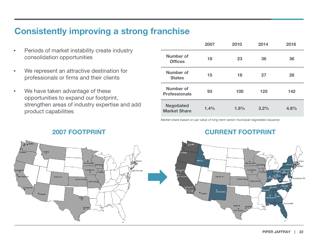### Consistently improving a strong franchise

- Periods of market instability create industry consolidation opportunities
- We represent an attractive destination for professionals or firms and their clients
- We have taken advantage of these opportunities to expand our footprint, strengthen areas of industry expertise and add product capabilities

|                                          | 2007 | 2010 | 2014 | 2016 |
|------------------------------------------|------|------|------|------|
| Number of<br><b>Offices</b>              | 18   | 23   | 36   | 36   |
| Number of<br><b>States</b>               | 15   | 18   | 27   | 28   |
| Number of<br><b>Professionals</b>        | 93   | 100  | 125  | 142  |
| <b>Negotiated</b><br><b>Market Share</b> | 1.4% | 1.8% | 3.2% | 4.8% |

*Market share based on par value of long-term senior municipal negotiated issuance* 

### **2007 FOOTPRINT CURRENT FOOTPRINT**



Denver •

cramer {<br>∴San Franch

El Segundo

·<br>Phoenix

Des Moine

Saint Louis

Kansas City

Dallas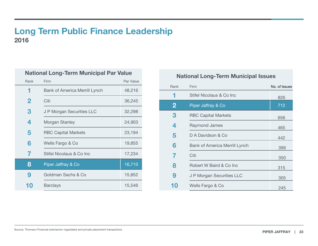### Long Term Public Finance Leadership

| <b>National Long-Term Municipal Par Value</b> |                                      |           |  |  |  |  |  |  |  |  |  |
|-----------------------------------------------|--------------------------------------|-----------|--|--|--|--|--|--|--|--|--|
| Rank                                          | Firm                                 | Par Value |  |  |  |  |  |  |  |  |  |
| 1                                             | <b>Bank of America Merrill Lynch</b> | 48,216    |  |  |  |  |  |  |  |  |  |
| $\mathbf 2$                                   | Citi                                 | 36,245    |  |  |  |  |  |  |  |  |  |
| 3                                             | J P Morgan Securities LLC            | 32,298    |  |  |  |  |  |  |  |  |  |
| 4                                             | Morgan Stanley                       | 24,903    |  |  |  |  |  |  |  |  |  |
| 5                                             | <b>RBC Capital Markets</b>           | 23,194    |  |  |  |  |  |  |  |  |  |
| 6                                             | Wells Fargo & Co                     | 19,855    |  |  |  |  |  |  |  |  |  |
| $\overline{\mathcal{L}}$                      | Stifel Nicolaus & Co Inc             | 17,234    |  |  |  |  |  |  |  |  |  |
| 8                                             | Piper Jaffray & Co                   | 16,710    |  |  |  |  |  |  |  |  |  |
| 9                                             | Goldman Sachs & Co                   | 15,852    |  |  |  |  |  |  |  |  |  |
| 10                                            | <b>Barclays</b>                      | 15,546    |  |  |  |  |  |  |  |  |  |

### National Long-Term Municipal Issues

| Rank     | Firm                                 | No. of Issues |
|----------|--------------------------------------|---------------|
|          | Stifel Nicolaus & Co Inc             | 826           |
| $\bf{2}$ | Piper Jaffray & Co                   | 712           |
| 3        | <b>RBC Capital Markets</b>           | 656           |
| 4        | Raymond James                        | 465           |
| 5        | D A Davidson & Co                    | 442           |
| 6        | <b>Bank of America Merrill Lynch</b> | 399           |
|          | Citi                                 | 350           |
| 8        | Robert W Baird & Co Inc              | 315           |
| 9        | J P Morgan Securities LLC            | 305           |
|          | Wells Fargo & Co                     | 245           |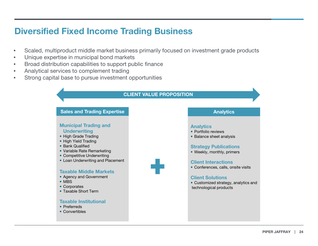### Diversified Fixed Income Trading Business

- Scaled, multiproduct middle market business primarily focused on investment grade products
- Unique expertise in municipal bond markets
- Broad distribution capabilities to support public finance
- Analytical services to complement trading
- Strong capital base to pursue investment opportunities

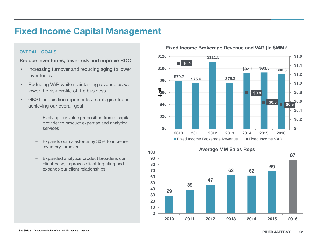### Fixed Income Capital Management

#### OVERALL GOALS

Reduce inventories, lower risk and improve ROC

- Increasing turnover and reducing aging to lower inventories
- Reducing VAR while maintaining revenue as we lower the risk profile of the business
- GKST acquisition represents a strategic step in achieving our overall goal
	- ‒ Evolving our value proposition from a capital provider to product expertise and analytical services
	- Expands our salesforce by 30% to increase inventory turnover
	- Expanded analytics product broadens our client base, improves client targeting and expands our client relationships



29 39 47 63 62 69 87 0 10 20 30 40 50 60 70 80 90 100 2010 2011 2012 2013 2014 2015 2016 Average MM Sales Reps

Fixed Income Brokerage Revenue and VAR (In \$MM)1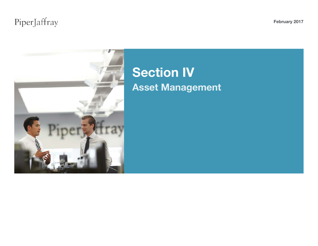# PiperJaffray

February 2017



# Section IV Asset Management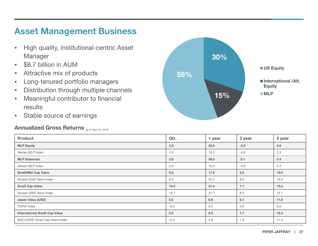### Asset Management Business

- High quality, institutional-centric Asset Manager
- \$8.7 billion in AUM
- Attractive mix of products
- Long-tenured portfolio managers
- Distribution through multiple channels
- Meaningful contributor to financial results
- Stable source of earnings

### Annualized Gross Returns as of Dec 31, 2016



| <b>Product</b>                       | Qtr.   | 1 year | 3 year | 5 year |
|--------------------------------------|--------|--------|--------|--------|
| <b>MLP Equity</b>                    | 3.2    | 22.6   | $-2.5$ | 4.8    |
| Alerian MLP Index                    | 2.0    | 18.3   | $-5.8$ | 2.3    |
| <b>MLP Balanced</b>                  | 3.8    | 36.0   | 0.1    | 5.4    |
| Alerian MLP Index                    | 2.0    | 18.3   | $-5.8$ | 2.3    |
| <b>Small/Mid Cap Value</b>           | 9.2    | 17.9   | 2.0    | $10.5$ |
| Russell 2500 Value Index             | 9.3    | 25.2   | 8.2    | 15.0   |
| <b>Small Cap Value</b>               | 10.2   | 21.4   | 7.1    | 13.0   |
| Russell 2000 Value Index             | 14.1   | 31.7   | 8.3    | 15.1   |
| Japan Value (USD)                    | 0.6    | 6.9    | 8.1    | 11.6   |
| <b>TOPIX Index</b>                   | $-0.2$ | 3.5    | 3.8    | 8.8    |
| <b>International Small Cap Value</b> | 0.5    | 6.5    | 1.7    | 10.3   |
| MSCI EAFE Small Cap Value Index      | $-0.3$ | 5.9    | 1.8    | 11.0   |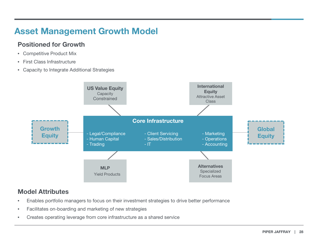## Asset Management Growth Model

### Positioned for Growth

- Competitive Product Mix
- First Class Infrastructure
- Capacity to Integrate Additional Strategies



### Model Attributes

- Enables portfolio managers to focus on their investment strategies to drive better performance
- Facilitates on-boarding and marketing of new strategies
- Creates operating leverage from core infrastructure as a shared service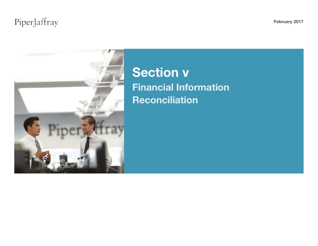# PiperJaffray



# Section v Financial Information **Reconciliation**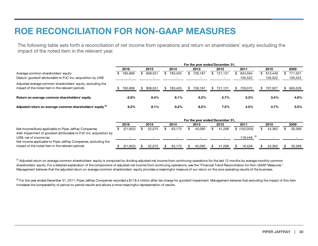## ROE RECONCILIATION FOR NON-GAAP MEASURES

The following table sets forth a reconciliation of net income from operations and return on shareholders' equity excluding the impact of the noted item in the relevant year.

|                                                                                                                 | For the year ended December 31, |     |         |  |           |     |         |     |         |     |         |  |           |     |         |
|-----------------------------------------------------------------------------------------------------------------|---------------------------------|-----|---------|--|-----------|-----|---------|-----|---------|-----|---------|--|-----------|-----|---------|
|                                                                                                                 | 2016                            |     | 2015    |  | 2014      |     | 2013    |     | 2012    |     | 2011    |  | 2010      |     | 2009    |
| Average common shareholders' equity                                                                             | 785,899                         | SS. | 808,551 |  | \$783,425 | SS. | 728,187 | SS. | 721,131 | S.  | 834,594 |  | \$813,449 |     | 771.051 |
| Deduct: goodwill attributable to PJC Inc. acquisition by USB                                                    |                                 |     |         |  |           |     |         |     |         |     | 105,522 |  | 105,522   |     | 105,522 |
| Adjusted average common shareholders' equity, excluding the<br>impact of the noted item in the relevant periods | 785,899                         |     | 808.551 |  | \$783.425 | S.  | 728.187 | SS. | 721.131 | \$. | 729.072 |  | 707,927   | SS. | 665,529 |
| Return on average common shareholders' equity                                                                   | $-2.8%$                         |     | 6.4%    |  | 8.1%      |     | 6.2%    |     | 5.7%    |     | 2.3%    |  | 3.4%      |     | 4.6%    |
| Adjusted return on average common shareholders' equity (1)                                                      | $9.2\%$                         |     | 8.1%    |  | $9.2\%$   |     | 8.2%    |     | 7.5%    |     | 4.5%    |  | 4.7%      |     | 5.5%    |

|                                                                     | For the year ended December 31, |           |      |        |      |        |      |        |      |        |      |                        |      |        |  |        |
|---------------------------------------------------------------------|---------------------------------|-----------|------|--------|------|--------|------|--------|------|--------|------|------------------------|------|--------|--|--------|
|                                                                     | 2016                            |           | 2015 |        | 2014 |        | 2013 |        | 2012 |        | 2011 |                        | 2010 |        |  | 2009   |
| Net Income/(loss) applicable to Piper Jaffray Companies             |                                 | (21.952)  |      | 52.075 |      | 63.172 |      | 45.090 |      | 41.268 |      | \$(102.020)            |      | 24.362 |  | 30.369 |
| Add: Impairment of goodwill attributable to PJC Inc. acquisition by |                                 |           |      |        |      |        |      |        |      |        |      |                        |      |        |  |        |
| USB, net of income tax                                              |                                 |           |      |        |      |        |      |        |      |        |      | 118.448 <sup>(2)</sup> |      |        |  |        |
| Net income applicable to Piper Jaffray Companies, excluding the     |                                 |           |      |        |      |        |      |        |      |        |      |                        |      |        |  |        |
| impact of the noted item in the relevant periods                    |                                 | (21, 952) |      | 52.075 |      | 63.172 |      | 45.090 |      | 41.268 |      | 16.428                 |      | 24.362 |  | 30.369 |

<sup>(1)</sup> Adjusted return on average common shareholders' equity is computed by dividing adjusted net income from continuing operations for the last 12 months by average monthly common shareholders' equity. For a detailed explanation of the components of adjusted net income from continuing operations, see the "Financial Trend Reconciliation for Non-GAAP Measures." Management believes that the adjusted return on average common shareholders' equity provides a meaningful measure of our return on the core operating results of the business.

 $\textdegree$  For the year ended December 31, 2011, Piper Jaffray Companies recorded a \$118.4 million after-tax charge for goodwill impairment. Management believes that excluding the impact of this item increases the comparability of period-to-period results and allows a more meaningful representation of results.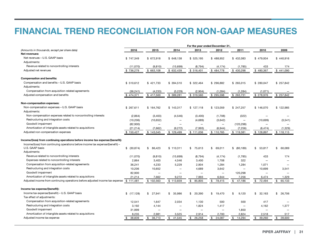## FINANCIAL TREND RECONCILIATION FOR NON-GAAP MEASURES

|                                                                                | For the year ended December 31, |                          |                          |                          |                          |                          |                          |              |  |  |  |
|--------------------------------------------------------------------------------|---------------------------------|--------------------------|--------------------------|--------------------------|--------------------------|--------------------------|--------------------------|--------------|--|--|--|
| (Amounts in thousands, except per share data)                                  | 2016                            | 2015                     | 2014                     | 2013                     | 2012                     | 2011                     | 2010                     | 2009         |  |  |  |
| Net revenues:                                                                  |                                 |                          |                          |                          |                          |                          |                          |              |  |  |  |
| Net revenues - U.S. GAAP basis                                                 | \$747,349                       | \$672,918                | \$648,138                | \$525,195                | \$488,952                | \$432,083                | \$479,934                | \$440,916    |  |  |  |
| Adjustments:                                                                   |                                 |                          |                          |                          |                          |                          |                          |              |  |  |  |
| Revenue related to noncontrolling interests                                    | (11,070)                        | (9, 810)                 | (15,699)                 | (8, 794)                 | (4, 174)                 | (1,785)                  | 433                      | 174          |  |  |  |
| Adjusted net revenues                                                          | \$736,279                       | \$663,108                | \$632,439                | \$516,401                | \$484,778                | \$430,298                | \$480,367                | \$441,090    |  |  |  |
| <b>Compensation and benefits:</b>                                              |                                 |                          |                          |                          |                          |                          |                          |              |  |  |  |
| Compensation and benefits - U.S. GAAP basis                                    | \$510,612                       | \$421,733                | \$394,510                | \$322,464                | \$296,882                | \$265,015                | \$280,047                | \$257,842    |  |  |  |
| Adjustments:                                                                   |                                 |                          |                          |                          |                          |                          |                          |              |  |  |  |
| Compensation from acquisition-related agreements                               | (36, 241)                       | (4,233)                  | (5, 229)                 | (2,904)                  | (1, 284)                 | (1,284)                  | (1,071)                  |              |  |  |  |
| Adjusted compensation and benefits                                             | \$474,371                       | \$417,500                | \$389,281                | \$ 319,560               | \$295,598                | \$263,731                | \$278,976                | \$257,842    |  |  |  |
| Non-compensation expenses:                                                     |                                 |                          |                          |                          |                          |                          |                          |              |  |  |  |
| Non-compensation expenses - U.S. GAAP basis                                    | \$267,611                       | \$164,762                | \$143,317                | \$127,118                | \$123,059                | \$247,257                | \$146,070                | \$122,985    |  |  |  |
| Adjustments:                                                                   |                                 |                          |                          |                          |                          |                          |                          |              |  |  |  |
| Non-compensation expenses related to noncontrolling interests                  | (2,864)                         | (3,403)                  | (4,546)                  | (3,400)                  | (1,708)                  | (322)                    |                          |              |  |  |  |
| Restructuring and integration costs                                            | (10, 206)                       | (10, 652)                |                          | (4,689)                  | (3,642)                  | $\overline{\phantom{0}}$ | (10, 699)                | (3,541)      |  |  |  |
| Goodwill impairment                                                            | (82,900)                        |                          |                          | ÷                        | $\overline{\phantom{0}}$ | (120, 298)               |                          |              |  |  |  |
| Amortization of intangible assets related to acquisitions                      | (21, 214)                       | (7,662)                  | (9,272)                  | (7,993)                  | (6,944)                  | (7, 256)                 | (6, 474)                 | (1, 329)     |  |  |  |
| Adjusted non-compensation expenses                                             | \$150,427                       | \$143,045                | \$129,499                | \$111,036                | \$110,765                | \$119,381                | \$128,897                | \$118,115    |  |  |  |
| Income/(loss) from continuing operations before income tax expense/(benefit):  |                                 |                          |                          |                          |                          |                          |                          |              |  |  |  |
| Income/(loss) from continuing operations before income tax expense/(benefit) – |                                 |                          |                          |                          |                          |                          |                          |              |  |  |  |
| U.S. GAAP basis                                                                | \$ (30, 874)                    | 86,423<br>\$             | \$110,311                | \$<br>75,613             | 69,011<br>\$             | \$ (80, 189)             | \$<br>53,817             | \$<br>60,089 |  |  |  |
| Adjustments:                                                                   |                                 |                          |                          |                          |                          |                          |                          |              |  |  |  |
| Revenue related to noncontrolling interests                                    | (11,070)                        | (9, 810)                 | (15,699)                 | (8, 794)                 | (4, 174)                 | (1,785)                  | 433                      | 174          |  |  |  |
| Expenses related to noncontrolling interests                                   | 2,864                           | 3,403                    | 4,546                    | 3,400                    | 1,708                    | 322                      | $\overline{\phantom{0}}$ |              |  |  |  |
| Compensation from acquisition-related agreements                               | 36,241                          | 4,233                    | 5,229                    | 2,904                    | 1,284                    | 1,284                    | 1,071                    |              |  |  |  |
| Restructuring and integration costs                                            | 10,206                          | 10,652                   | $\overline{\phantom{0}}$ | 4,689                    | 3,642                    | $\overline{\phantom{0}}$ | 10,699                   | 3,541        |  |  |  |
| Goodwill impairment                                                            | 82,900                          | $\overline{\phantom{0}}$ |                          | $\overline{\phantom{0}}$ | $\overline{\phantom{0}}$ | 120,298                  |                          |              |  |  |  |
| Amortization of intangible assets related to acquisitions                      | 21,214                          | 7,662                    | 9.272                    | 7.993                    | 6,944                    | 7,256                    | 6,474                    | 1,329        |  |  |  |
| Adjusted income from continuing operations before adjusted income tax expense  | \$111,481                       | \$102,563                | \$113,659                | \$<br>85,805             | \$<br>78,415             | \$<br>47,186             | \$<br>72,494             | \$<br>65,133 |  |  |  |
| Income tax expense/(benefit):                                                  |                                 |                          |                          |                          |                          |                          |                          |              |  |  |  |
| Income tax expense/(benefit) – U.S. GAAP basis                                 | \$(17,128)                      | \$27,941                 | 35,986<br>\$             | \$<br>20,390             | \$<br>19,470             | 9,120<br>\$              | \$<br>32,163             | \$ 26,706    |  |  |  |
| Tax effect of adjustments:                                                     |                                 |                          |                          |                          |                          |                          |                          |              |  |  |  |
| Compensation from acquisition-related agreements                               | 12,541                          | 1,647                    | 2,034                    | 1,130                    | 500                      | 500                      | 417                      |              |  |  |  |
| Restructuring and integration costs                                            | 3,192                           | 4,144                    |                          | 1,824                    | 1,417                    | $\overline{\phantom{0}}$ | 4,162                    | 1,377        |  |  |  |
| Goodwill impairment                                                            | 31,999                          |                          |                          | -                        | $\overline{\phantom{0}}$ | 1,850                    |                          |              |  |  |  |
| Amortization of intangible assets related to acquisitions                      | 8.235                           | 2,981                    | 3,525                    | 2.914                    | 2,700                    | 2,824                    | 2,518                    | 517          |  |  |  |
| Adjusted income tax expense                                                    | \$<br>38,839                    | \$36,713                 | \$41,545                 | \$<br>26,258             | \$<br>24,087             | \$14,294                 | \$39,260                 | \$28,600     |  |  |  |